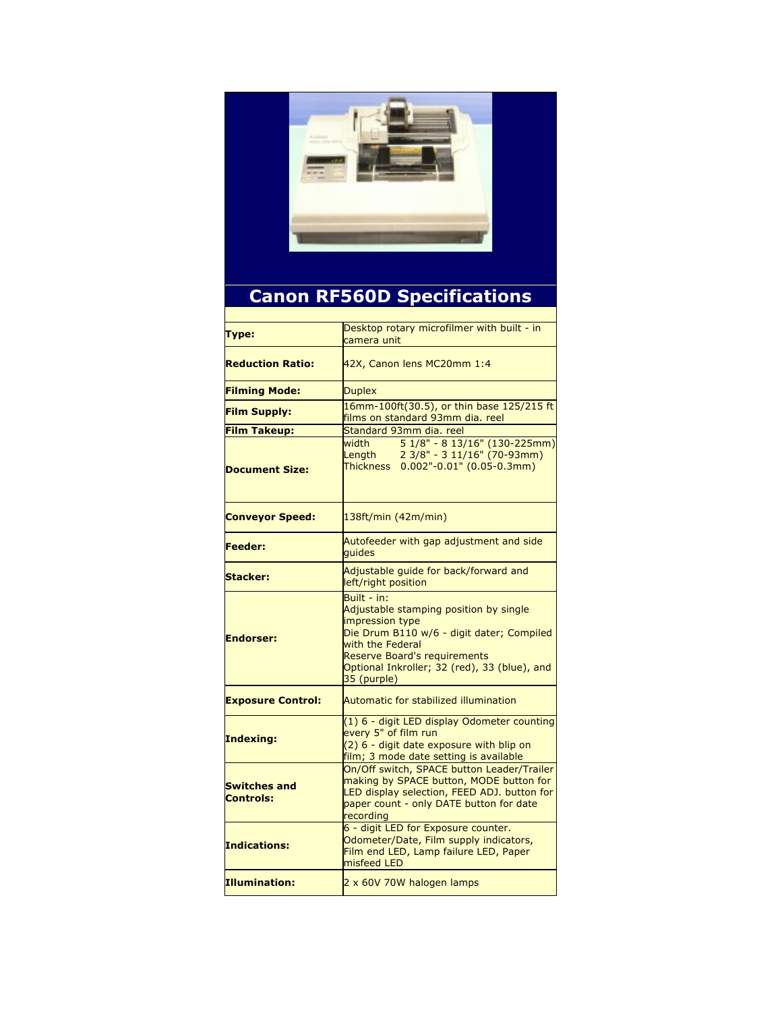

## **Canon RF560D Specifications**

| Type:                            | Desktop rotary microfilmer with built - in<br>camera unit                                                                                                                                                                                       |
|----------------------------------|-------------------------------------------------------------------------------------------------------------------------------------------------------------------------------------------------------------------------------------------------|
| <b>Reduction Ratio:</b>          | 42X, Canon lens MC20mm 1:4                                                                                                                                                                                                                      |
| <b>Filming Mode:</b>             | <b>Duplex</b>                                                                                                                                                                                                                                   |
| <b>Film Supply:</b>              | 16mm-100ft(30.5), or thin base 125/215 ft<br>films on standard 93mm dia. reel                                                                                                                                                                   |
| <b>Film Takeup:</b>              | Standard 93mm dia, reel                                                                                                                                                                                                                         |
| <b>Document Size:</b>            | 5 1/8" - 8 13/16" (130-225mm)<br>width<br>2 3/8" - 3 11/16" (70-93mm)<br>Length<br>Thickness 0.002"-0.01" (0.05-0.3mm)                                                                                                                          |
| <b>Conveyor Speed:</b>           | 138ft/min (42m/min)                                                                                                                                                                                                                             |
| <b>Feeder:</b>                   | Autofeeder with gap adjustment and side<br>quides                                                                                                                                                                                               |
| <b>Stacker:</b>                  | Adjustable quide for back/forward and<br>left/right position                                                                                                                                                                                    |
| <b>Endorser:</b>                 | Built - in:<br>Adjustable stamping position by single<br>impression type<br>Die Drum B110 w/6 - digit dater; Compiled<br>with the Federal<br><b>Reserve Board's requirements</b><br>Optional Inkroller; 32 (red), 33 (blue), and<br>35 (purple) |
| <b>Exposure Control:</b>         | Automatic for stabilized illumination                                                                                                                                                                                                           |
| Indexing:                        | (1) 6 - digit LED display Odometer counting<br>every 5" of film run<br>(2) 6 - digit date exposure with blip on<br>film; 3 mode date setting is available                                                                                       |
| <b>Switches and</b><br>Controls: | On/Off switch, SPACE button Leader/Trailer<br>making by SPACE button, MODE button for<br>LED display selection, FEED ADJ. button for<br>paper count - only DATE button for date<br>recording                                                    |
| Indications:                     | 6 - digit LED for Exposure counter.<br>Odometer/Date, Film supply indicators,<br>Film end LED, Lamp failure LED, Paper<br>misfeed LED                                                                                                           |
| Illumination:                    | 2 x 60V 70W halogen lamps                                                                                                                                                                                                                       |